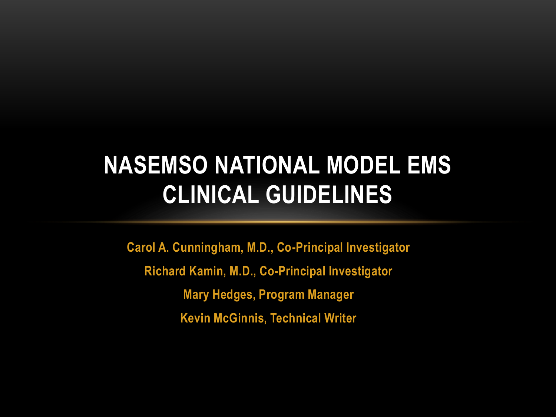**Carol A. Cunningham, M.D., Co-Principal Investigator Richard Kamin, M.D., Co-Principal Investigator Mary Hedges, Program Manager Kevin McGinnis, Technical Writer**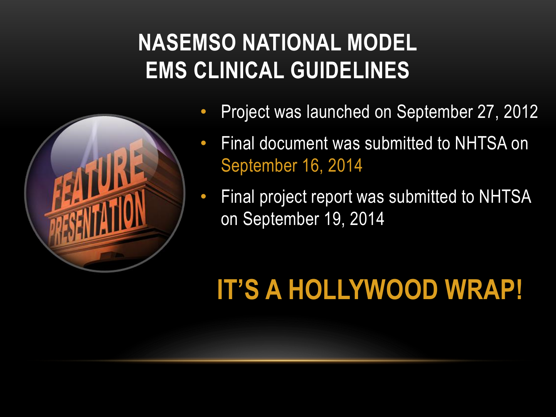

- Project was launched on September 27, 2012
- Final document was submitted to NHTSA on September 16, 2014
- Final project report was submitted to NHTSA on September 19, 2014

# **IT'S A HOLLYWOOD WRAP!**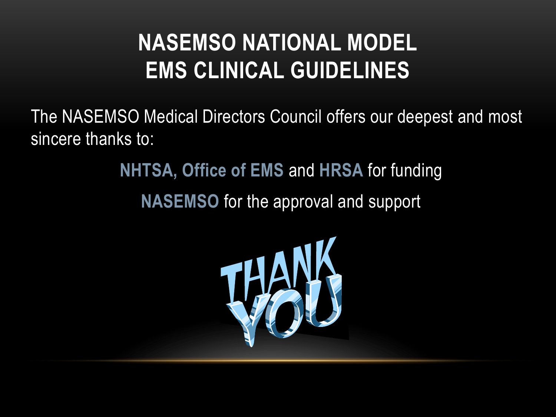The NASEMSO Medical Directors Council offers our deepest and most sincere thanks to:

> **NHTSA, Office of EMS** and **HRSA** for funding **NASEMSO** for the approval and support

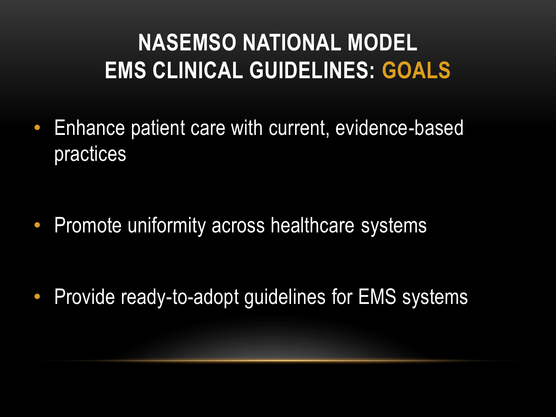• Enhance patient care with current, evidence-based practices

• Promote uniformity across healthcare systems

• Provide ready-to-adopt guidelines for EMS systems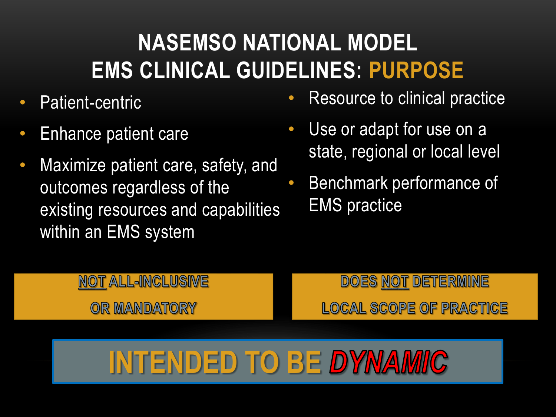- Patient-centric
- Enhance patient care
- Maximize patient care, safety, and outcomes regardless of the existing resources and capabilities within an EMS system
- Resource to clinical practice
- Use or adapt for use on a state, regional or local level
- Benchmark performance of EMS practice

### **NOT ALL-INCLUSIVE**

OR MANDATORY

### **DOES NOT DETERMINE LOCAL SCOPE OF PRACTICE**

# **INTENDED TO BE DYNAMIC**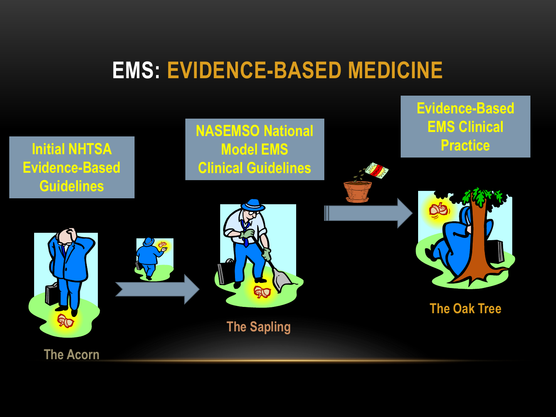### **EMS: EVIDENCE-BASED MEDICINE**

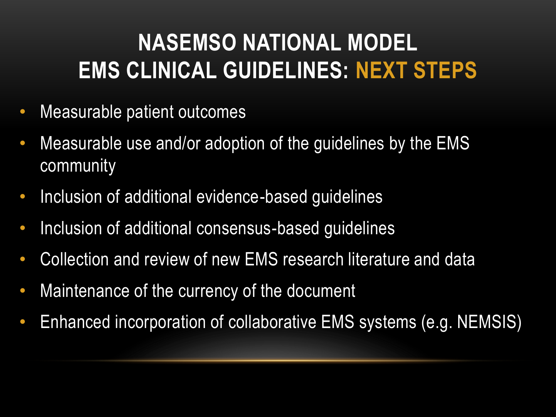## **NASEMSO NATIONAL MODEL EMS CLINICAL GUIDELINES: NEXT STEPS**

- Measurable patient outcomes
- Measurable use and/or adoption of the guidelines by the EMS community
- Inclusion of additional evidence-based guidelines
- Inclusion of additional consensus-based guidelines
- Collection and review of new EMS research literature and data
- Maintenance of the currency of the document
- Enhanced incorporation of collaborative EMS systems (e.g. NEMSIS)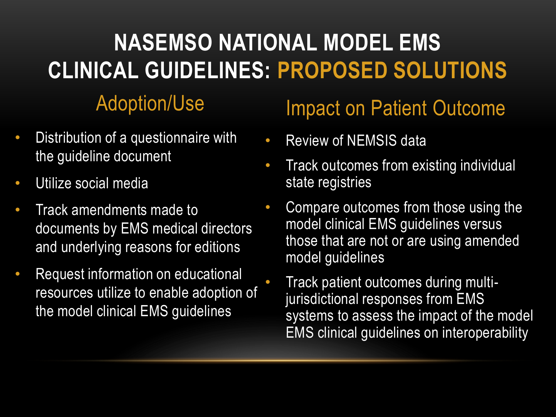- Distribution of a questionnaire with the guideline document
- Utilize social media
- Track amendments made to documents by EMS medical directors and underlying reasons for editions
- Request information on educational resources utilize to enable adoption of the model clinical EMS guidelines

### Adoption/Use Impact on Patient Outcome

- Review of NEMSIS data
- Track outcomes from existing individual state registries
- Compare outcomes from those using the model clinical EMS guidelines versus those that are not or are using amended model guidelines
	- Track patient outcomes during multijurisdictional responses from EMS systems to assess the impact of the model EMS clinical guidelines on interoperability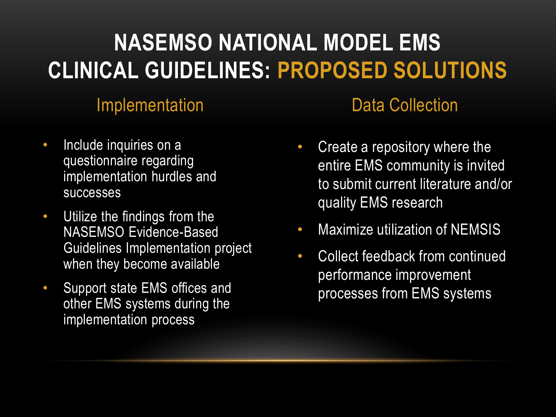- Include inquiries on a questionnaire regarding implementation hurdles and successes
- Utilize the findings from the NASEMSO Evidence-Based Guidelines Implementation project when they become available
- Support state EMS offices and other EMS systems during the implementation process

### **Implementation** Data Collection

- Create a repository where the entire EMS community is invited to submit current literature and/or quality EMS research
- Maximize utilization of NEMSIS
- Collect feedback from continued performance improvement processes from EMS systems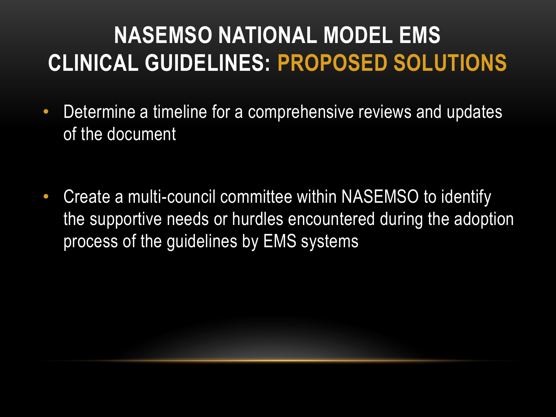- Determine a timeline for a comprehensive reviews and updates of the document
- Create a multi-council committee within NASEMSO to identify the supportive needs or hurdles encountered during the adoption process of the guidelines by EMS systems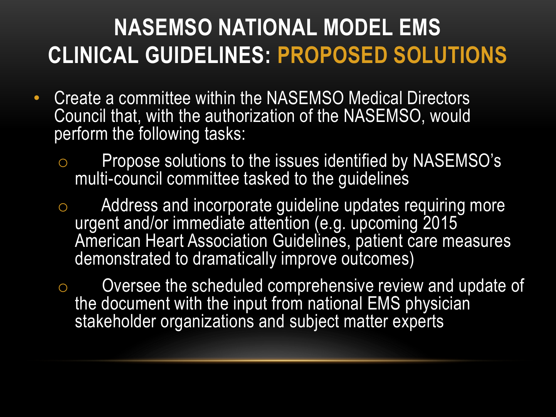- Create a committee within the NASEMSO Medical Directors Council that, with the authorization of the NASEMSO, would perform the following tasks:
	- o Propose solutions to the issues identified by NASEMSO's multi-council committee tasked to the guidelines
	- o Address and incorporate guideline updates requiring more urgent and/or immediate attention (e.g. upcoming 2015 American Heart Association Guidelines, patient care measures demonstrated to dramatically improve outcomes)
	- o Oversee the scheduled comprehensive review and update of the document with the input from national EMS physician stakeholder organizations and subject matter experts